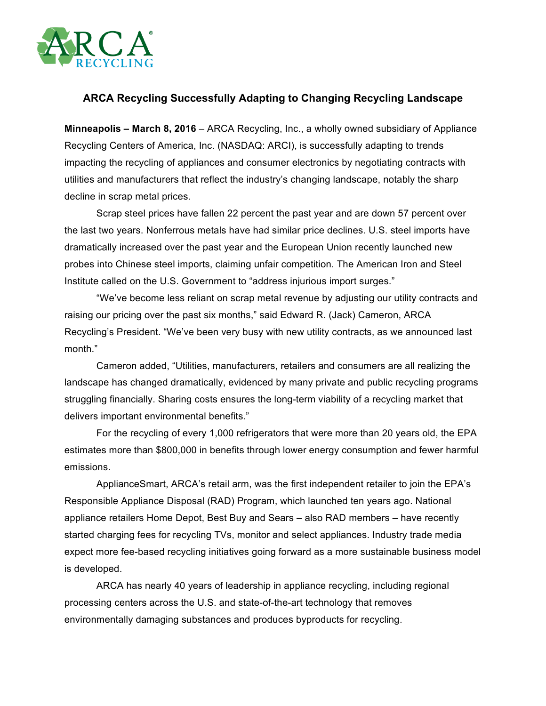

## **ARCA Recycling Successfully Adapting to Changing Recycling Landscape**

**Minneapolis – March 8, 2016** – ARCA Recycling, Inc., a wholly owned subsidiary of Appliance Recycling Centers of America, Inc. (NASDAQ: ARCI), is successfully adapting to trends impacting the recycling of appliances and consumer electronics by negotiating contracts with utilities and manufacturers that reflect the industry's changing landscape, notably the sharp decline in scrap metal prices.

Scrap steel prices have fallen 22 percent the past year and are down 57 percent over the last two years. Nonferrous metals have had similar price declines. U.S. steel imports have dramatically increased over the past year and the European Union recently launched new probes into Chinese steel imports, claiming unfair competition. The American Iron and Steel Institute called on the U.S. Government to "address injurious import surges."

"We've become less reliant on scrap metal revenue by adjusting our utility contracts and raising our pricing over the past six months," said Edward R. (Jack) Cameron, ARCA Recycling's President. "We've been very busy with new utility contracts, as we announced last month."

Cameron added, "Utilities, manufacturers, retailers and consumers are all realizing the landscape has changed dramatically, evidenced by many private and public recycling programs struggling financially. Sharing costs ensures the long-term viability of a recycling market that delivers important environmental benefits."

For the recycling of every 1,000 refrigerators that were more than 20 years old, the EPA estimates more than \$800,000 in benefits through lower energy consumption and fewer harmful emissions.

ApplianceSmart, ARCA's retail arm, was the first independent retailer to join the EPA's Responsible Appliance Disposal (RAD) Program, which launched ten years ago. National appliance retailers Home Depot, Best Buy and Sears – also RAD members – have recently started charging fees for recycling TVs, monitor and select appliances. Industry trade media expect more fee-based recycling initiatives going forward as a more sustainable business model is developed.

ARCA has nearly 40 years of leadership in appliance recycling, including regional processing centers across the U.S. and state-of-the-art technology that removes environmentally damaging substances and produces byproducts for recycling.